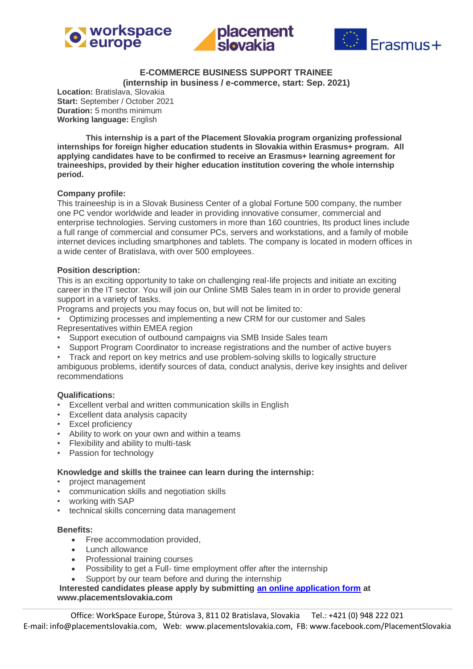





### **E-COMMERCE BUSINESS SUPPORT TRAINEE (internship in business / e-commerce, start: Sep. 2021)**

**Location:** Bratislava, Slovakia **Start:** September / October 2021 **Duration:** 5 months minimum **Working language:** English

**This internship is a part of the Placement Slovakia program organizing professional internships for foreign higher education students in Slovakia within Erasmus+ program. All applying candidates have to be confirmed to receive an Erasmus+ learning agreement for traineeships, provided by their higher education institution covering the whole internship period.**

#### **Company profile:**

This traineeship is in a Slovak Business Center of a global Fortune 500 company, the number one PC vendor worldwide and leader in providing innovative consumer, commercial and enterprise technologies. Serving customers in more than 160 countries, Its product lines include a full range of commercial and consumer PCs, servers and workstations, and a family of mobile internet devices including smartphones and tablets. The company is located in modern offices in a wide center of Bratislava, with over 500 employees.

## **Position description:**

This is an exciting opportunity to take on challenging real-life projects and initiate an exciting career in the IT sector. You will join our Online SMB Sales team in in order to provide general support in a variety of tasks.

Programs and projects you may focus on, but will not be limited to:

• Optimizing processes and implementing a new CRM for our customer and Sales Representatives within EMEA region

- Support execution of outbound campaigns via SMB Inside Sales team
- Support Program Coordinator to increase registrations and the number of active buyers

• Track and report on key metrics and use problem-solving skills to logically structure

ambiguous problems, identify sources of data, conduct analysis, derive key insights and deliver recommendations

#### **Qualifications:**

- Excellent verbal and written communication skills in English
- Excellent data analysis capacity
- Excel proficiency
- Ability to work on your own and within a teams
- Flexibility and ability to multi-task
- Passion for technology

#### **Knowledge and skills the trainee can learn during the internship:**

- project management
- communication skills and negotiation skills
- working with SAP
- technical skills concerning data management

#### **Benefits:**

- Free accommodation provided,
- Lunch allowance
- Professional training courses
- Possibility to get a Full- time employment offer after the internship
- Support by our team before and during the internship

**Interested candidates please apply by submitting [an online application form](https://www.placementslovakia.com/how-to-apply/application-form) at www.placementslovakia.com**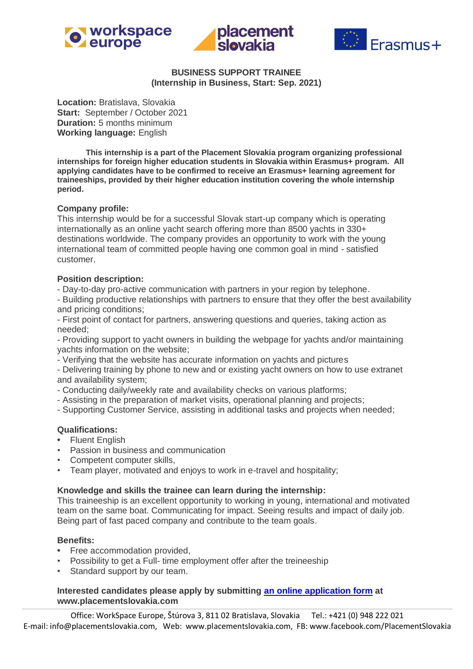





# **BUSINESS SUPPORT TRAINEE (Internship in Business, Start: Sep. 2021)**

**Location:** Bratislava, Slovakia **Start:** September / October 2021 **Duration:** 5 months minimum **Working language:** English

**This internship is a part of the Placement Slovakia program organizing professional internships for foreign higher education students in Slovakia within Erasmus+ program. All applying candidates have to be confirmed to receive an Erasmus+ learning agreement for traineeships, provided by their higher education institution covering the whole internship period.**

## **Company profile:**

This internship would be for a successful Slovak start-up company which is operating internationally as an online yacht search offering more than 8500 yachts in 330+ destinations worldwide. The company provides an opportunity to work with the young international team of committed people having one common goal in mind - satisfied customer.

#### **Position description:**

- Day-to-day pro-active communication with partners in your region by telephone.

- Building productive relationships with partners to ensure that they offer the best availability and pricing conditions;

- First point of contact for partners, answering questions and queries, taking action as needed;

- Providing support to yacht owners in building the webpage for yachts and/or maintaining yachts information on the website;

- Verifying that the website has accurate information on yachts and pictures

- Delivering training by phone to new and or existing yacht owners on how to use extranet and availability system;

- Conducting daily/weekly rate and availability checks on various platforms;
- Assisting in the preparation of market visits, operational planning and projects;
- Supporting Customer Service, assisting in additional tasks and projects when needed;

## **Qualifications:**

- Fluent English
- Passion in business and communication
- Competent computer skills,
- Team player, motivated and enjoys to work in e-travel and hospitality;

#### **Knowledge and skills the trainee can learn during the internship:**

This traineeship is an excellent opportunity to working in young, international and motivated team on the same boat. Communicating for impact. Seeing results and impact of daily job. Being part of fast paced company and contribute to the team goals.

### **Benefits:**

- Free accommodation provided,
- Possibility to get a Full- time employment offer after the treineeship
- Standard support by our team.

## **Interested candidates please apply by submitting [an online application form](https://www.placementslovakia.com/how-to-apply/application-form) at www.placementslovakia.com**

Office: WorkSpace Europe, Štúrova 3, 811 02 Bratislava, Slovakia Tel.: +421 (0) 948 222 021 E-mail: info@placementslovakia.com, Web: www.placementslovakia.com, FB: www.facebook.com/PlacementSlovakia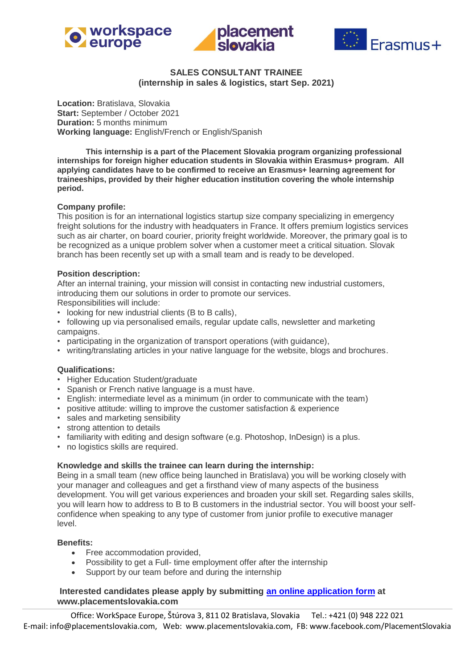





## **SALES CONSULTANT TRAINEE (internship in sales & logistics, start Sep. 2021)**

**Location:** Bratislava, Slovakia **Start:** September / October 2021 **Duration:** 5 months minimum **Working language:** English/French or English/Spanish

**This internship is a part of the Placement Slovakia program organizing professional internships for foreign higher education students in Slovakia within Erasmus+ program. All applying candidates have to be confirmed to receive an Erasmus+ learning agreement for traineeships, provided by their higher education institution covering the whole internship period.**

#### **Company profile:**

This position is for an international logistics startup size company specializing in emergency freight solutions for the industry with headquaters in France. It offers premium logistics services such as air charter, on board courier, priority freight worldwide. Moreover, the primary goal is to be recognized as a unique problem solver when a customer meet a critical situation. Slovak branch has been recently set up with a small team and is ready to be developed.

#### **Position description:**

After an internal training, your mission will consist in contacting new industrial customers, introducing them our solutions in order to promote our services.

Responsibilities will include:

- looking for new industrial clients (B to B calls),
- following up via personalised emails, regular update calls, newsletter and marketing campaigns.
- participating in the organization of transport operations (with guidance),
- writing/translating articles in your native language for the website, blogs and brochures.

#### **Qualifications:**

- Higher Education Student/graduate
- Spanish or French native language is a must have.
- English: intermediate level as a minimum (in order to communicate with the team)
- positive attitude: willing to improve the customer satisfaction & experience
- sales and marketing sensibility
- strong attention to details
- familiarity with editing and design software (e.g. Photoshop, InDesign) is a plus.
- no logistics skills are required.

#### **Knowledge and skills the trainee can learn during the internship:**

Being in a small team (new office being launched in Bratislava) you will be working closely with your manager and colleagues and get a firsthand view of many aspects of the business development. You will get various experiences and broaden your skill set. Regarding sales skills, you will learn how to address to B to B customers in the industrial sector. You will boost your selfconfidence when speaking to any type of customer from junior profile to executive manager level.

### **Benefits:**

- Free accommodation provided.
- Possibility to get a Full- time employment offer after the internship
- Support by our team before and during the internship

## **Interested candidates please apply by submitting [an online application form](https://www.placementslovakia.com/how-to-apply/application-form) at www.placementslovakia.com**

Office: WorkSpace Europe, Štúrova 3, 811 02 Bratislava, Slovakia Tel.: +421 (0) 948 222 021 E-mail: info@placementslovakia.com, Web: www.placementslovakia.com, FB: www.facebook.com/PlacementSlovakia